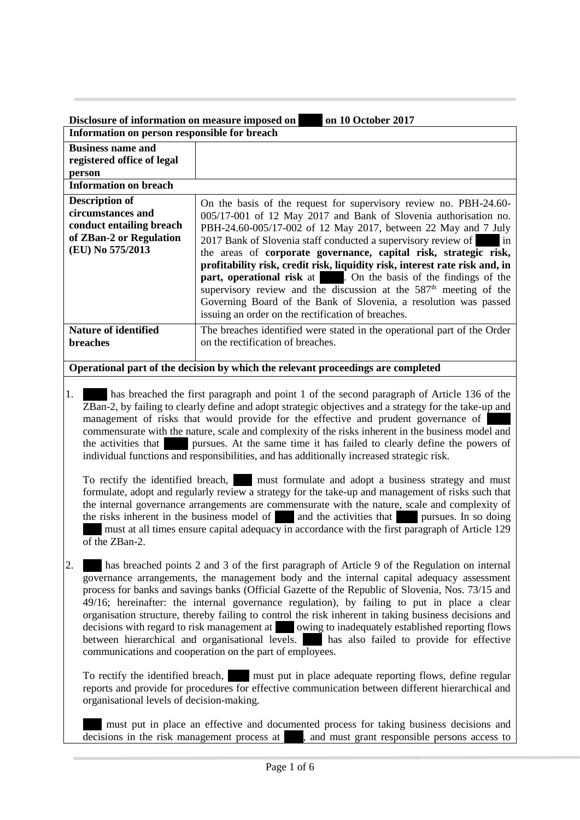**Disclosure of information on measure imposed on** ……. **on 10 October 2017**

| Information on person responsible for breach                                                                          |                                                                                                                                                                                                                                                                                                                                                                                                                                                                                                                                                                                                                                                                                                                 |
|-----------------------------------------------------------------------------------------------------------------------|-----------------------------------------------------------------------------------------------------------------------------------------------------------------------------------------------------------------------------------------------------------------------------------------------------------------------------------------------------------------------------------------------------------------------------------------------------------------------------------------------------------------------------------------------------------------------------------------------------------------------------------------------------------------------------------------------------------------|
| <b>Business name and</b><br>registered office of legal<br>person                                                      |                                                                                                                                                                                                                                                                                                                                                                                                                                                                                                                                                                                                                                                                                                                 |
| <b>Information on breach</b>                                                                                          |                                                                                                                                                                                                                                                                                                                                                                                                                                                                                                                                                                                                                                                                                                                 |
| <b>Description of</b><br>circumstances and<br>conduct entailing breach<br>of ZBan-2 or Regulation<br>(EU) No 575/2013 | On the basis of the request for supervisory review no. PBH-24.60-<br>005/17-001 of 12 May 2017 and Bank of Slovenia authorisation no.<br>PBH-24.60-005/17-002 of 12 May 2017, between 22 May and 7 July<br>2017 Bank of Slovenia staff conducted a supervisory review of<br>l in<br>the areas of corporate governance, capital risk, strategic risk,<br>profitability risk, credit risk, liquidity risk, interest rate risk and, in<br><b>part, operational risk at </b> . On the basis of the findings of the<br>supervisory review and the discussion at the $587th$ meeting of the<br>Governing Board of the Bank of Slovenia, a resolution was passed<br>issuing an order on the rectification of breaches. |
| <b>Nature of identified</b><br>breaches                                                                               | The breaches identified were stated in the operational part of the Order<br>on the rectification of breaches.                                                                                                                                                                                                                                                                                                                                                                                                                                                                                                                                                                                                   |

## **Operational part of the decision by which the relevant proceedings are completed**

1. ……. has breached the first paragraph and point 1 of the second paragraph of Article 136 of the ZBan-2, by failing to clearly define and adopt strategic objectives and a strategy for the take-up and management of risks that would provide for the effective and prudent governance of commensurate with the nature, scale and complexity of the risks inherent in the business model and the activities that ……. pursues. At the same time it has failed to clearly define the powers of individual functions and responsibilities, and has additionally increased strategic risk.

To rectify the identified breach, ....... must formulate and adopt a business strategy and must formulate, adopt and regularly review a strategy for the take-up and management of risks such that the internal governance arrangements are commensurate with the nature, scale and complexity of the risks inherent in the business model of ....... and the activities that ........ pursues. In so doing must at all times ensure capital adequacy in accordance with the first paragraph of Article  $129$  $of the ZBan-2.$ 

2. ....... has breached points 2 and 3 of the first paragraph of Article 9 of the Regulation on internal governance arrangements, the management body and the internal capital adequacy assessment process for banks and savings banks (Official Gazette of the Republic of Slovenia, Nos. 73/15 and  $49/16$ ; hereinafter: the internal governance regulation), by failing to put in place a clear organisation structure, thereby failing to control the risk inherent in taking business decisions and decisions with regard to risk management at **the owing to inadequately established reporting flows** between hierarchical and organisational levels. between hierarchical and organisational levels. communications and cooperation on the part of employees.

To rectify the identified breach, ........ must put in place adequate reporting flows, define regular reports and provide for procedures for effective communication between different hierarchical and organisational levels of decision-making.

....... must put in place an effective and documented process for taking business decisions and decisions in the risk management process at ......., and must grant responsible persons access to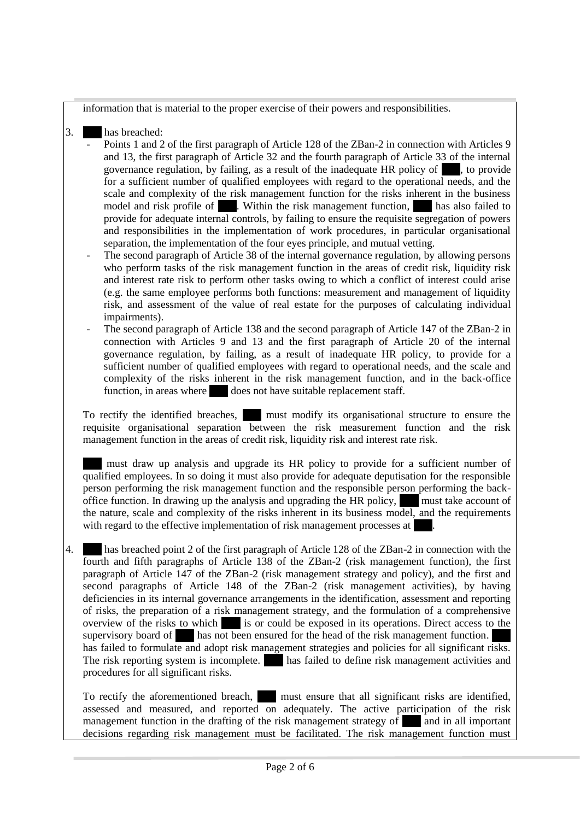information that is material to the proper exercise of their powers and responsibilities.

- 3. has breached:
	- Points 1 and 2 of the first paragraph of Article 128 of the ZBan-2 in connection with Articles 9 and 13, the first paragraph of Article 32 and the fourth paragraph of Article 33 of the internal governance regulation, by failing, as a result of the inadequate HR policy of  $\blacksquare$ , to provide for a sufficient number of qualified employees with regard to the operational needs, and the scale and complexity of the risk management function for the risks inherent in the business model and risk profile of ........ Within the risk management function, ....... has also failed to provide for adequate internal controls, by failing to ensure the requisite segregation of powers and responsibilities in the implementation of work procedures, in particular organisational separation, the implementation of the four eyes principle, and mutual vetting.
	- The second paragraph of Article 38 of the internal governance regulation, by allowing persons who perform tasks of the risk management function in the areas of credit risk, liquidity risk and interest rate risk to perform other tasks owing to which a conflict of interest could arise (e.g. the same employee performs both functions: measurement and management of liquidity risk, and assessment of the value of real estate for the purposes of calculating individual impairments).
	- The second paragraph of Article 138 and the second paragraph of Article 147 of the ZBan-2 in connection with Articles 9 and 13 and the first paragraph of Article 20 of the internal governance regulation, by failing, as a result of inadequate HR policy, to provide for a sufficient number of qualified employees with regard to operational needs, and the scale and complexity of the risks inherent in the risk management function, and in the back-office function, in areas where ....... does not have suitable replacement staff.

To rectify the identified breaches, ....... must modify its organisational structure to ensure the requisite organisational separation between the risk measurement function and the risk management function in the areas of credit risk, liquidity risk and interest rate risk.

must draw up analysis and upgrade its HR policy to provide for a sufficient number of qualified employees. In so doing it must also provide for adequate deputisation for the responsible person performing the risk management function and the responsible person performing the backoffice function. In drawing up the analysis and upgrading the HR policy, must take account of the nature, scale and complexity of the risks inherent in its business model, and the requirements with regard to the effective implementation of risk management processes at

4. ....... has breached point 2 of the first paragraph of Article 128 of the ZBan-2 in connection with the fourth and fifth paragraphs of Article 138 of the ZBan-2 (risk management function), the first paragraph of Article 147 of the ZBan-2 (risk management strategy and policy), and the first and second paragraphs of Article 148 of the ZBan-2 (risk management activities), by having deficiencies in its internal governance arrangements in the identification, assessment and reporting of risks, the preparation of a risk management strategy, and the formulation of a comprehensive overview of the risks to which is or could be exposed in its operations. Direct access to the supervisory board of ............ has not been ensured for the head of the risk management function. has failed to formulate and adopt risk management strategies and policies for all significant risks. The risk reporting system is incomplete. ....... has failed to define risk management activities and procedures for all significant risks.

To rectify the aforementioned breach, ....... must ensure that all significant risks are identified, assessed and measured, and reported on adequately. The active participation of the risk management function in the drafting of the risk management strategy of and in all important management function in the drafting of the risk management strategy of decisions regarding risk management must be facilitated. The risk management function must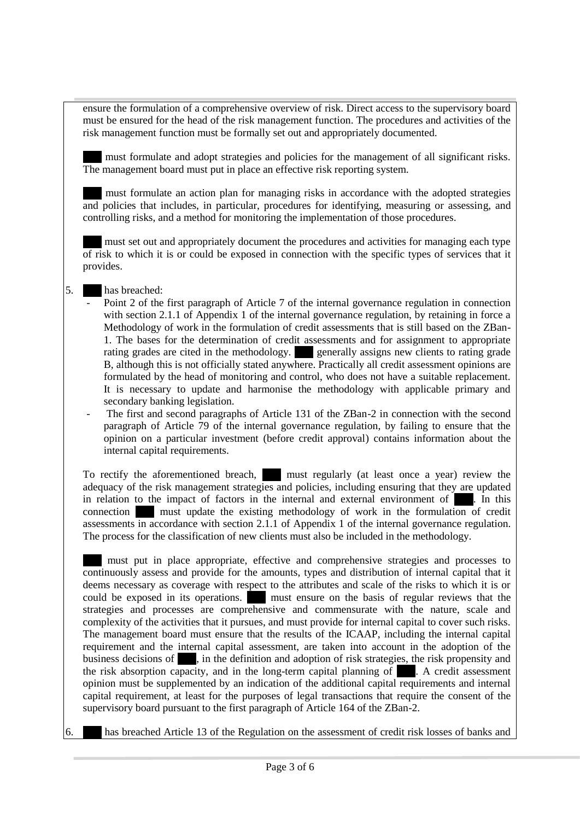ensure the formulation of a comprehensive overview of risk. Direct access to the supervisory board must be ensured for the head of the risk management function. The procedures and activities of the risk management function must be formally set out and appropriately documented.

....... must formulate and adopt strategies and policies for the management of all significant risks. The management board must put in place an effective risk reporting system.

....... must formulate an action plan for managing risks in accordance with the adopted strategies and policies that includes, in particular, procedures for identifying, measuring or assessing, and controlling risks, and a method for monitoring the implementation of those procedures.

....... must set out and appropriately document the procedures and activities for managing each type of risk to which it is or could be exposed in connection with the specific types of services that it provides.

- 5. has breached:
	- Point 2 of the first paragraph of Article 7 of the internal governance regulation in connection with section 2.1.1 of Appendix 1 of the internal governance regulation, by retaining in force a Methodology of work in the formulation of credit assessments that is still based on the ZBan-1. The bases for the determination of credit assessments and for assignment to appropriate rating grades are cited in the methodology. ....... generally assigns new clients to rating grade B, although this is not officially stated anywhere. Practically all credit assessment opinions are formulated by the head of monitoring and control, who does not have a suitable replacement. It is necessary to update and harmonise the methodology with applicable primary and secondary banking legislation.
	- The first and second paragraphs of Article 131 of the ZBan-2 in connection with the second paragraph of Article 79 of the internal governance regulation, by failing to ensure that the opinion on a particular investment (before credit approval) contains information about the internal capital requirements.

To rectify the aforementioned breach, must regularly (at least once a year) review the adequacy of the risk management strategies and policies, including ensuring that they are updated in relation to the impact of factors in the internal and external environment of . In this connection ....... must update the existing methodology of work in the formulation of credit assessments in accordance with section 2.1.1 of Appendix 1 of the internal governance regulation. The process for the classification of new clients must also be included in the methodology.

must put in place appropriate, effective and comprehensive strategies and processes to continuously assess and provide for the amounts, types and distribution of internal capital that it deems necessary as coverage with respect to the attributes and scale of the risks to which it is or could be exposed in its operations. The must ensure on the basis of regular reviews that the strategies and processes are comprehensive and commensurate with the nature, scale and complexity of the activities that it pursues, and must provide for internal capital to cover such risks. The management board must ensure that the results of the ICAAP, including the internal capital requirement and the internal capital assessment, are taken into account in the adoption of the business decisions of  $\blacksquare$ , in the definition and adoption of risk strategies, the risk propensity and the risk absorption capacity, and in the long-term capital planning of . A credit assessment opinion must be supplemented by an indication of the additional capital requirements and internal capital requirement, at least for the purposes of legal transactions that require the consent of the supervisory board pursuant to the first paragraph of Article 164 of the ZBan-2.

has breached Article 13 of the Regulation on the assessment of credit risk losses of banks and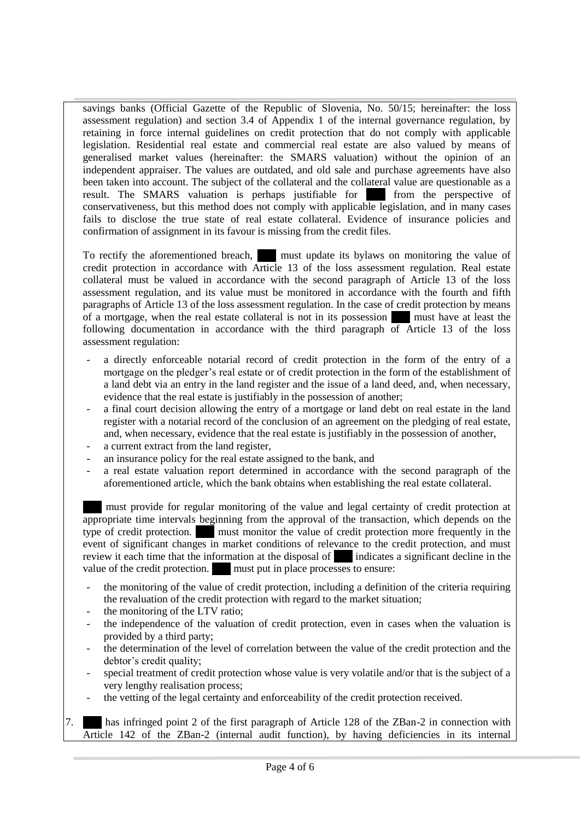savings banks (Official Gazette of the Republic of Slovenia, No. 50/15; hereinafter: the loss assessment regulation) and section 3.4 of Appendix 1 of the internal governance regulation, by retaining in force internal guidelines on credit protection that do not comply with applicable legislation. Residential real estate and commercial real estate are also valued by means of generalised market values (hereinafter: the SMARS valuation) without the opinion of an independent appraiser. The values are outdated, and old sale and purchase agreements have also been taken into account. The subject of the collateral and the collateral value are questionable as a result. The SMARS valuation is perhaps justifiable for the perspective of conservativeness, but this method does not comply with applicable legislation, and in many cases fails to disclose the true state of real estate collateral. Evidence of insurance policies and confirmation of assignment in its favour is missing from the credit files.

To rectify the aforementioned breach, ....... must update its bylaws on monitoring the value of credit protection in accordance with Article 13 of the loss assessment regulation. Real estate collateral must be valued in accordance with the second paragraph of Article 13 of the loss assessment regulation, and its value must be monitored in accordance with the fourth and fifth paragraphs of Article 13 of the loss assessment regulation. In the case of credit protection by means of a mortgage, when the real estate collateral is not in its possession must have at least the following documentation in accordance with the third paragraph of Article 13 of the loss assessment regulation:

- a directly enforceable notarial record of credit protection in the form of the entry of a mortgage on the pledger's real estate or of credit protection in the form of the establishment of a land debt via an entry in the land register and the issue of a land deed, and, when necessary, evidence that the real estate is justifiably in the possession of another;
- a final court decision allowing the entry of a mortgage or land debt on real estate in the land register with a notarial record of the conclusion of an agreement on the pledging of real estate, and, when necessary, evidence that the real estate is justifiably in the possession of another,
- a current extract from the land register,
- an insurance policy for the real estate assigned to the bank, and
- a real estate valuation report determined in accordance with the second paragraph of the aforementioned article, which the bank obtains when establishing the real estate collateral.

must provide for regular monitoring of the value and legal certainty of credit protection at appropriate time intervals beginning from the approval of the transaction, which depends on the type of credit protection. ....... must monitor the value of credit protection more frequently in the event of significant changes in market conditions of relevance to the credit protection, and must review it each time that the information at the disposal of ......... indicates a significant decline in the value of the credit protection. ....... must put in place processes to ensure:

- the monitoring of the value of credit protection, including a definition of the criteria requiring the revaluation of the credit protection with regard to the market situation;
- the monitoring of the LTV ratio;
- the independence of the valuation of credit protection, even in cases when the valuation is provided by a third party;
- the determination of the level of correlation between the value of the credit protection and the debtor's credit quality;
- special treatment of credit protection whose value is very volatile and/or that is the subject of a very lengthy realisation process;
- the vetting of the legal certainty and enforceability of the credit protection received.

7. ....... has infringed point 2 of the first paragraph of Article 128 of the ZBan-2 in connection with Article 142 of the ZBan-2 (internal audit function), by having deficiencies in its internal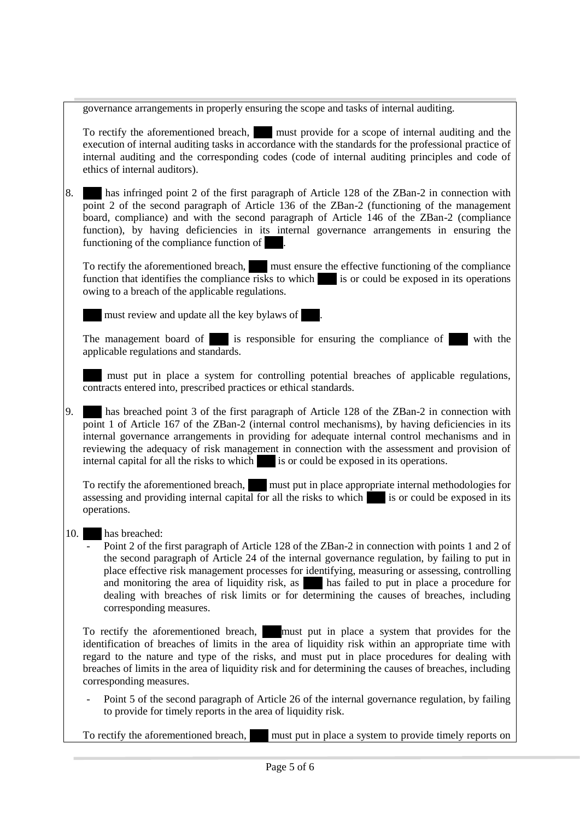governance arrangements in properly ensuring the scope and tasks of internal auditing.

To rectify the aforementioned breach, ....... must provide for a scope of internal auditing and the execution of internal auditing tasks in accordance with the standards for the professional practice of internal auditing and the corresponding codes (code of internal auditing principles and code of ethics of internal auditors).

8. ....... has infringed point 2 of the first paragraph of Article 128 of the ZBan-2 in connection with point 2 of the second paragraph of Article 136 of the ZBan-2 (functioning of the management board, compliance) and with the second paragraph of Article 146 of the ZBan-2 (compliance function), by having deficiencies in its internal governance arrangements in ensuring the functioning of the compliance function of

To rectify the aforementioned breach, must ensure the effective functioning of the compliance function that identifies the compliance risks to which is or could be exposed in its operations owing to a breach of the applicable regulations.

....... must review and update all the key bylaws of ........

The management board of  $\blacksquare$  is responsible for ensuring the compliance of  $\blacksquare$  with the applicable regulations and standards.

....... must put in place a system for controlling potential breaches of applicable regulations, contracts entered into, prescribed practices or ethical standards.

9. ....... has breached point 3 of the first paragraph of Article 128 of the ZBan-2 in connection with point 1 of Article 167 of the ZBan-2 (internal control mechanisms), by having deficiencies in its internal governance arrangements in providing for adequate internal control mechanisms and in reviewing the adequacy of risk management in connection with the assessment and provision of internal capital for all the risks to which is or could be exposed in its operations.

To rectify the aforementioned breach, ....... must put in place appropriate internal methodologies for assessing and providing internal capital for all the risks to which  $\mathbf{r}$  is or could be exposed in its operations.

- 10. has breached:
	- Point 2 of the first paragraph of Article 128 of the ZBan-2 in connection with points 1 and 2 of the second paragraph of Article 24 of the internal governance regulation, by failing to put in place effective risk management processes for identifying, measuring or assessing, controlling and monitoring the area of liquidity risk, as ....... has failed to put in place a procedure for dealing with breaches of risk limits or for determining the causes of breaches, including corresponding measures.

To rectify the aforementioned breach, .......must put in place a system that provides for the identification of breaches of limits in the area of liquidity risk within an appropriate time with regard to the nature and type of the risks, and must put in place procedures for dealing with breaches of limits in the area of liquidity risk and for determining the causes of breaches, including corresponding measures.

Point 5 of the second paragraph of Article 26 of the internal governance regulation, by failing to provide for timely reports in the area of liquidity risk.

To rectify the aforementioned breach, ....... must put in place a system to provide timely reports on